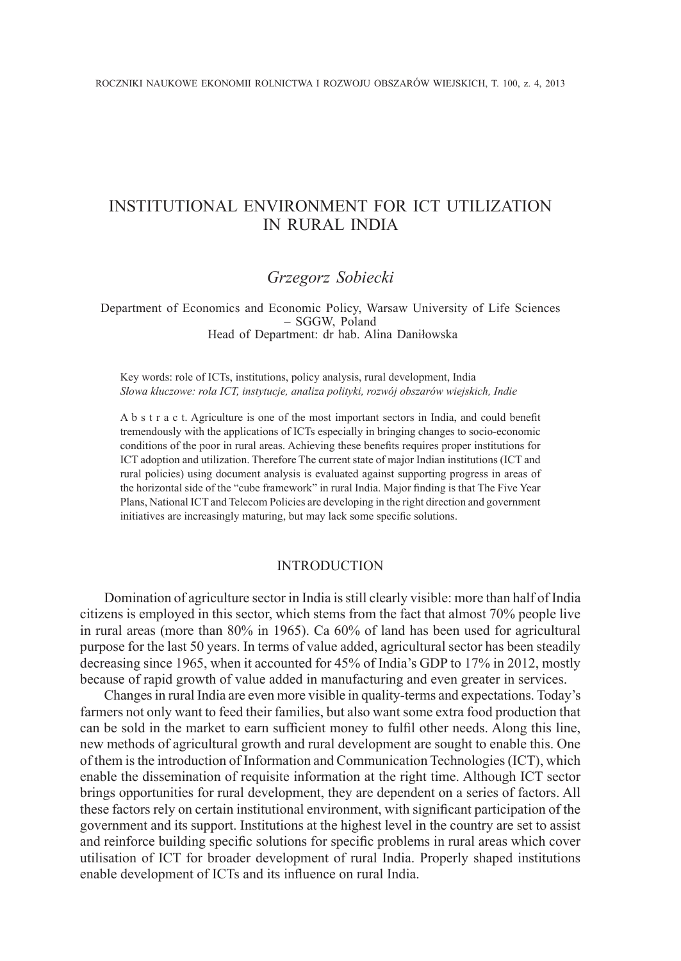# INSTITUTIONAL ENVIRONMENT FOR ICT UTILIZATION IN RURAL INDIA

## *Grzegorz Sobiecki*

Department of Economics and Economic Policy, Warsaw University of Life Sciences – SGGW, Poland Head of Department: dr hab. Alina Daniłowska

Key words: role of ICTs, institutions, policy analysis, rural development, India *Słowa kluczowe: rola ICT, instytucje, analiza polityki, rozwój obszarów wiejskich, Indie*

A b s t r a c t. Agriculture is one of the most important sectors in India, and could benefit tremendously with the applications of ICTs especially in bringing changes to socio-economic conditions of the poor in rural areas. Achieving these benefits requires proper institutions for ICT adoption and utilization. Therefore The current state of major Indian institutions (ICT and rural policies) using document analysis is evaluated against supporting progress in areas of the horizontal side of the "cube framework" in rural India. Major finding is that The Five Year Plans, National ICT and Telecom Policies are developing in the right direction and government initiatives are increasingly maturing, but may lack some specific solutions.

## INTRODUCTION

Domination of agriculture sector in India is still clearly visible: more than half of India citizens is employed in this sector, which stems from the fact that almost 70% people live in rural areas (more than 80% in 1965). Ca 60% of land has been used for agricultural purpose for the last 50 years. In terms of value added, agricultural sector has been steadily decreasing since 1965, when it accounted for 45% of India's GDP to 17% in 2012, mostly because of rapid growth of value added in manufacturing and even greater in services.

Changes in rural India are even more visible in quality-terms and expectations. Today's farmers not only want to feed their families, but also want some extra food production that can be sold in the market to earn sufficient money to fulfil other needs. Along this line, new methods of agricultural growth and rural development are sought to enable this. One of them is the introduction of Information and Communication Technologies (ICT), which enable the dissemination of requisite information at the right time. Although ICT sector brings opportunities for rural development, they are dependent on a series of factors. All these factors rely on certain institutional environment, with significant participation of the government and its support. Institutions at the highest level in the country are set to assist and reinforce building specific solutions for specific problems in rural areas which cover utilisation of ICT for broader development of rural India. Properly shaped institutions enable development of ICTs and its influence on rural India.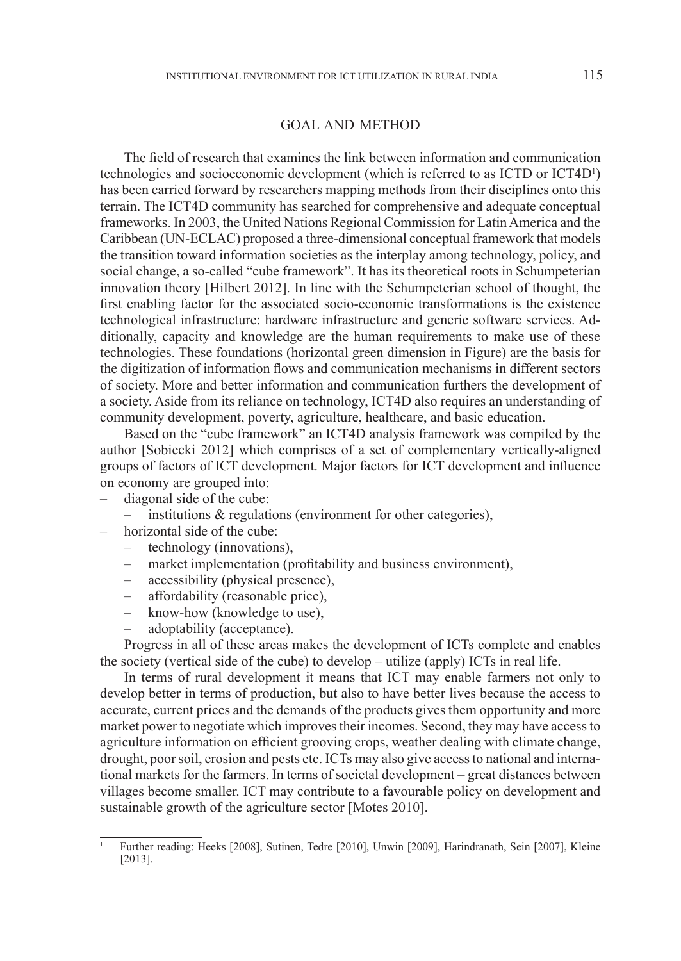#### GOAL AND METHOD

The field of research that examines the link between information and communication technologies and socioeconomic development (which is referred to as ICTD or ICT4D<sup>1</sup> ) has been carried forward by researchers mapping methods from their disciplines onto this terrain. The ICT4D community has searched for comprehensive and adequate conceptual frameworks. In 2003, the United Nations Regional Commission for Latin America and the Caribbean (UN-ECLAC) proposed a three-dimensional conceptual framework that models the transition toward information societies as the interplay among technology, policy, and social change, a so-called "cube framework". It has its theoretical roots in Schumpeterian innovation theory [Hilbert 2012]. In line with the Schumpeterian school of thought, the first enabling factor for the associated socio-economic transformations is the existence technological infrastructure: hardware infrastructure and generic software services. Additionally, capacity and knowledge are the human requirements to make use of these technologies. These foundations (horizontal green dimension in Figure) are the basis for the digitization of information flows and communication mechanisms in different sectors of society. More and better information and communication furthers the development of a society. Aside from its reliance on technology, ICT4D also requires an understanding of community development, poverty, agriculture, healthcare, and basic education.

Based on the "cube framework" an ICT4D analysis framework was compiled by the author [Sobiecki 2012] which comprises of a set of complementary vertically-aligned groups of factors of ICT development. Major factors for ICT development and influence on economy are grouped into:

- diagonal side of the cube:
	- institutions & regulations (environment for other categories),
- horizontal side of the cube:
	- technology (innovations),
	- market implementation (profitability and business environment),
	- accessibility (physical presence),
	- affordability (reasonable price),
	- know-how (knowledge to use),
	- adoptability (acceptance).

Progress in all of these areas makes the development of ICTs complete and enables the society (vertical side of the cube) to develop – utilize (apply) ICTs in real life.

In terms of rural development it means that ICT may enable farmers not only to develop better in terms of production, but also to have better lives because the access to accurate, current prices and the demands of the products gives them opportunity and more market power to negotiate which improves their incomes. Second, they may have access to agriculture information on efficient grooving crops, weather dealing with climate change, drought, poor soil, erosion and pests etc. ICTs may also give access to national and international markets for the farmers. In terms of societal development – great distances between villages become smaller. ICT may contribute to a favourable policy on development and sustainable growth of the agriculture sector [Motes 2010].

<sup>1</sup> Further reading: Heeks [2008], Sutinen, Tedre [2010], Unwin [2009], Harindranath, Sein [2007], Kleine [2013].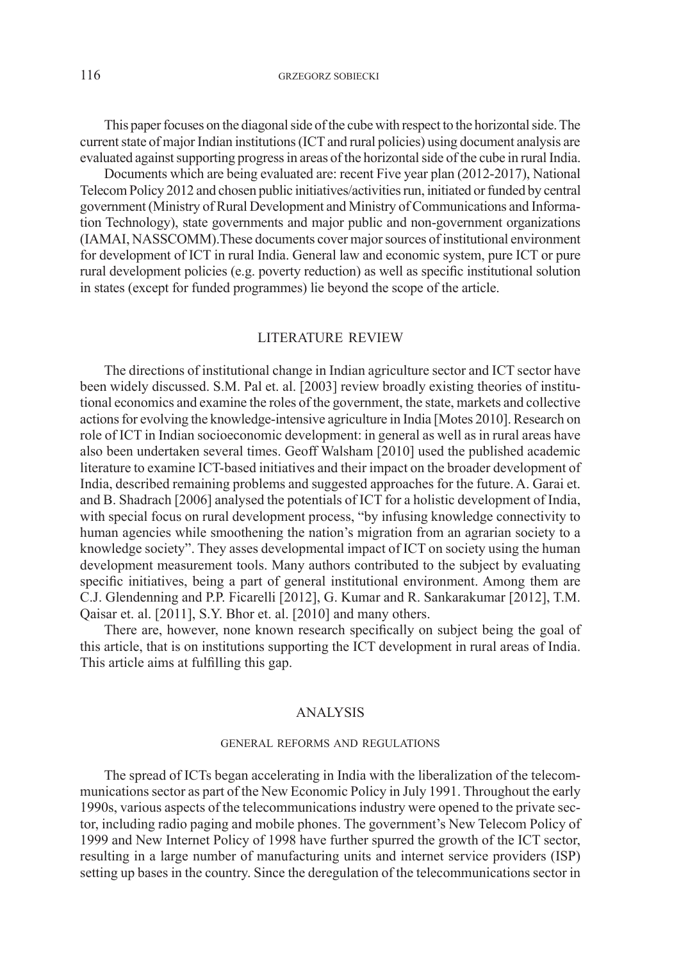116 GRZEGORZ SOBIECKI

This paper focuses on the diagonal side of the cube with respect to the horizontal side. The current state of major Indian institutions (ICT and rural policies) using document analysis are evaluated against supporting progress in areas of the horizontal side of the cube in rural India.

Documents which are being evaluated are: recent Five year plan (2012-2017), National Telecom Policy 2012 and chosen public initiatives/activities run, initiated or funded by central government (Ministry of Rural Development and Ministry of Communications and Information Technology), state governments and major public and non-government organizations (IAMAI, NASSCOMM).These documents cover major sources of institutional environment for development of ICT in rural India. General law and economic system, pure ICT or pure rural development policies (e.g. poverty reduction) as well as specific institutional solution in states (except for funded programmes) lie beyond the scope of the article.

### LITERATURE REVIEW

The directions of institutional change in Indian agriculture sector and ICT sector have been widely discussed. S.M. Pal et. al. [2003] review broadly existing theories of institutional economics and examine the roles of the government, the state, markets and collective actions for evolving the knowledge-intensive agriculture in India [Motes 2010]. Research on role of ICT in Indian socioeconomic development: in general as well as in rural areas have also been undertaken several times. Geoff Walsham [2010] used the published academic literature to examine ICT-based initiatives and their impact on the broader development of India, described remaining problems and suggested approaches for the future. A. Garai et. and B. Shadrach [2006] analysed the potentials of ICT for a holistic development of India, with special focus on rural development process, "by infusing knowledge connectivity to human agencies while smoothening the nation's migration from an agrarian society to a knowledge society". They asses developmental impact of ICT on society using the human development measurement tools. Many authors contributed to the subject by evaluating specific initiatives, being a part of general institutional environment. Among them are C.J. Glendenning and P.P. Ficarelli [2012], G. Kumar and R. Sankarakumar [2012], T.M. Qaisar et. al. [2011], S.Y. Bhor et. al. [2010] and many others.

There are, however, none known research specifically on subject being the goal of this article, that is on institutions supporting the ICT development in rural areas of India. This article aims at fulfilling this gap.

## ANALYSIS

#### GENERAL REFORMS AND REGULATIONS

The spread of ICTs began accelerating in India with the liberalization of the telecommunications sector as part of the New Economic Policy in July 1991. Throughout the early 1990s, various aspects of the telecommunications industry were opened to the private sector, including radio paging and mobile phones. The government's New Telecom Policy of 1999 and New Internet Policy of 1998 have further spurred the growth of the ICT sector, resulting in a large number of manufacturing units and internet service providers (ISP) setting up bases in the country. Since the deregulation of the telecommunications sector in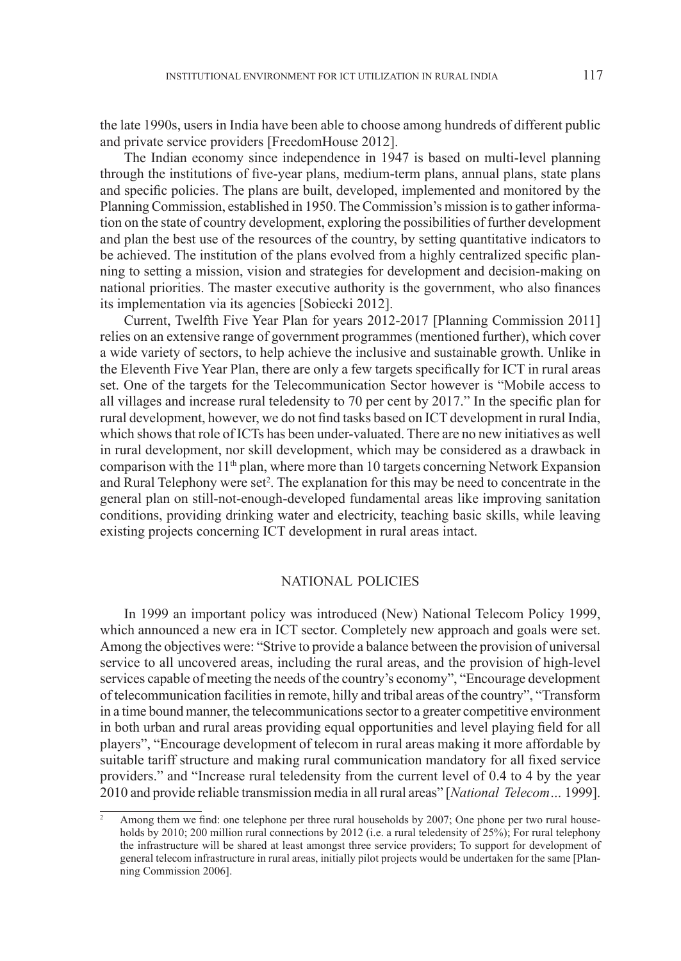the late 1990s, users in India have been able to choose among hundreds of different public and private service providers [FreedomHouse 2012].

The Indian economy since independence in 1947 is based on multi-level planning through the institutions of five-year plans, medium-term plans, annual plans, state plans and specific policies. The plans are built, developed, implemented and monitored by the Planning Commission, established in 1950. The Commission's mission is to gather information on the state of country development, exploring the possibilities of further development and plan the best use of the resources of the country, by setting quantitative indicators to be achieved. The institution of the plans evolved from a highly centralized specific planning to setting a mission, vision and strategies for development and decision-making on national priorities. The master executive authority is the government, who also finances its implementation via its agencies [Sobiecki 2012].

Current, Twelfth Five Year Plan for years 2012-2017 [Planning Commission 2011] relies on an extensive range of government programmes (mentioned further), which cover a wide variety of sectors, to help achieve the inclusive and sustainable growth. Unlike in the Eleventh Five Year Plan, there are only a few targets specifically for ICT in rural areas set. One of the targets for the Telecommunication Sector however is "Mobile access to all villages and increase rural teledensity to 70 per cent by 2017." In the specific plan for rural development, however, we do not find tasks based on ICT development in rural India, which shows that role of ICTs has been under-valuated. There are no new initiatives as well in rural development, nor skill development, which may be considered as a drawback in comparison with the  $11<sup>th</sup>$  plan, where more than 10 targets concerning Network Expansion and Rural Telephony were set<sup>2</sup>. The explanation for this may be need to concentrate in the general plan on still-not-enough-developed fundamental areas like improving sanitation conditions, providing drinking water and electricity, teaching basic skills, while leaving existing projects concerning ICT development in rural areas intact.

## NATIONAL POLICIES

In 1999 an important policy was introduced (New) National Telecom Policy 1999, which announced a new era in ICT sector. Completely new approach and goals were set. Among the objectives were: "Strive to provide a balance between the provision of universal service to all uncovered areas, including the rural areas, and the provision of high-level services capable of meeting the needs of the country's economy", "Encourage development of telecommunication facilities in remote, hilly and tribal areas of the country", "Transform in a time bound manner, the telecommunications sector to a greater competitive environment in both urban and rural areas providing equal opportunities and level playing field for all players", "Encourage development of telecom in rural areas making it more affordable by suitable tariff structure and making rural communication mandatory for all fixed service providers." and "Increase rural teledensity from the current level of 0.4 to 4 by the year 2010 and provide reliable transmission media in all rural areas" [*National Telecom…* 1999].

<sup>2</sup> Among them we find: one telephone per three rural households by 2007; One phone per two rural households by 2010; 200 million rural connections by 2012 (i.e. a rural teledensity of 25%); For rural telephony the infrastructure will be shared at least amongst three service providers; To support for development of general telecom infrastructure in rural areas, initially pilot projects would be undertaken for the same [Planning Commission 2006].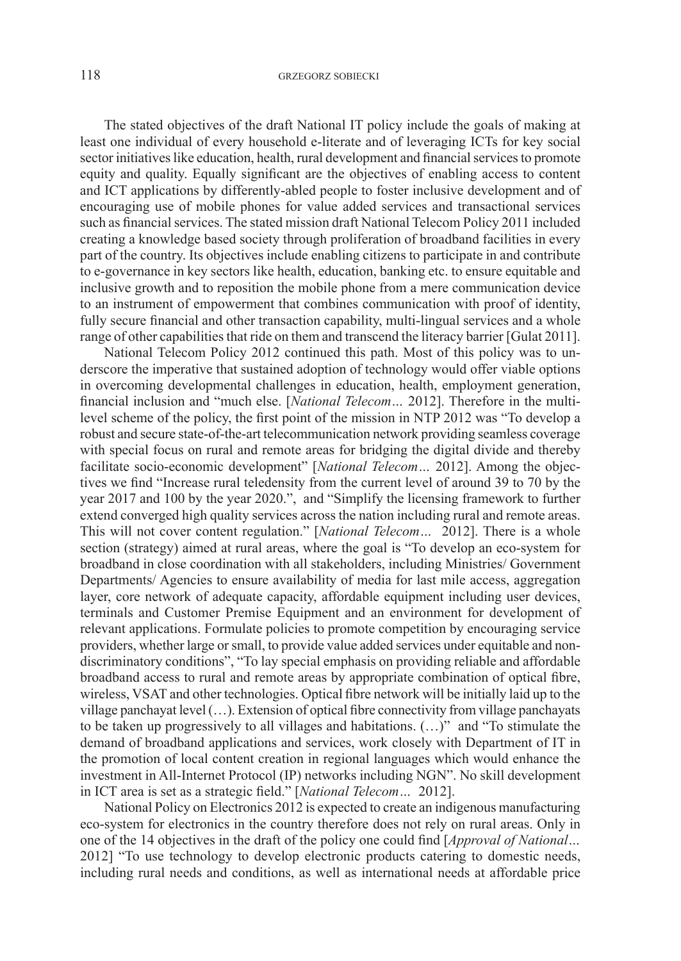The stated objectives of the draft National IT policy include the goals of making at least one individual of every household e-literate and of leveraging ICTs for key social sector initiatives like education, health, rural development and financial services to promote equity and quality. Equally significant are the objectives of enabling access to content and ICT applications by differently-abled people to foster inclusive development and of encouraging use of mobile phones for value added services and transactional services such as financial services. The stated mission draft National Telecom Policy 2011 included creating a knowledge based society through proliferation of broadband facilities in every part of the country. Its objectives include enabling citizens to participate in and contribute to e-governance in key sectors like health, education, banking etc. to ensure equitable and inclusive growth and to reposition the mobile phone from a mere communication device to an instrument of empowerment that combines communication with proof of identity, fully secure financial and other transaction capability, multi-lingual services and a whole range of other capabilities that ride on them and transcend the literacy barrier [Gulat 2011].

National Telecom Policy 2012 continued this path. Most of this policy was to underscore the imperative that sustained adoption of technology would offer viable options in overcoming developmental challenges in education, health, employment generation, financial inclusion and "much else. [*National Telecom…* 2012]. Therefore in the multilevel scheme of the policy, the first point of the mission in NTP 2012 was "To develop a robust and secure state-of-the-art telecommunication network providing seamless coverage with special focus on rural and remote areas for bridging the digital divide and thereby facilitate socio-economic development" [*National Telecom…* 2012]. Among the objectives we find "Increase rural teledensity from the current level of around 39 to 70 by the year 2017 and 100 by the year 2020.", and "Simplify the licensing framework to further extend converged high quality services across the nation including rural and remote areas. This will not cover content regulation." [*National Telecom…* 2012]. There is a whole section (strategy) aimed at rural areas, where the goal is "To develop an eco-system for broadband in close coordination with all stakeholders, including Ministries/ Government Departments/ Agencies to ensure availability of media for last mile access, aggregation layer, core network of adequate capacity, affordable equipment including user devices, terminals and Customer Premise Equipment and an environment for development of relevant applications. Formulate policies to promote competition by encouraging service providers, whether large or small, to provide value added services under equitable and nondiscriminatory conditions", "To lay special emphasis on providing reliable and affordable broadband access to rural and remote areas by appropriate combination of optical fibre, wireless, VSAT and other technologies. Optical fibre network will be initially laid up to the village panchayat level (…). Extension of optical fibre connectivity from village panchayats to be taken up progressively to all villages and habitations. (…)" and "To stimulate the demand of broadband applications and services, work closely with Department of IT in the promotion of local content creation in regional languages which would enhance the investment in All-Internet Protocol (IP) networks including NGN". No skill development in ICT area is set as a strategic field." [*National Telecom…* 2012].

National Policy on Electronics 2012 is expected to create an indigenous manufacturing eco-system for electronics in the country therefore does not rely on rural areas. Only in one of the 14 objectives in the draft of the policy one could find [*Approval of National…*  2012] "To use technology to develop electronic products catering to domestic needs, including rural needs and conditions, as well as international needs at affordable price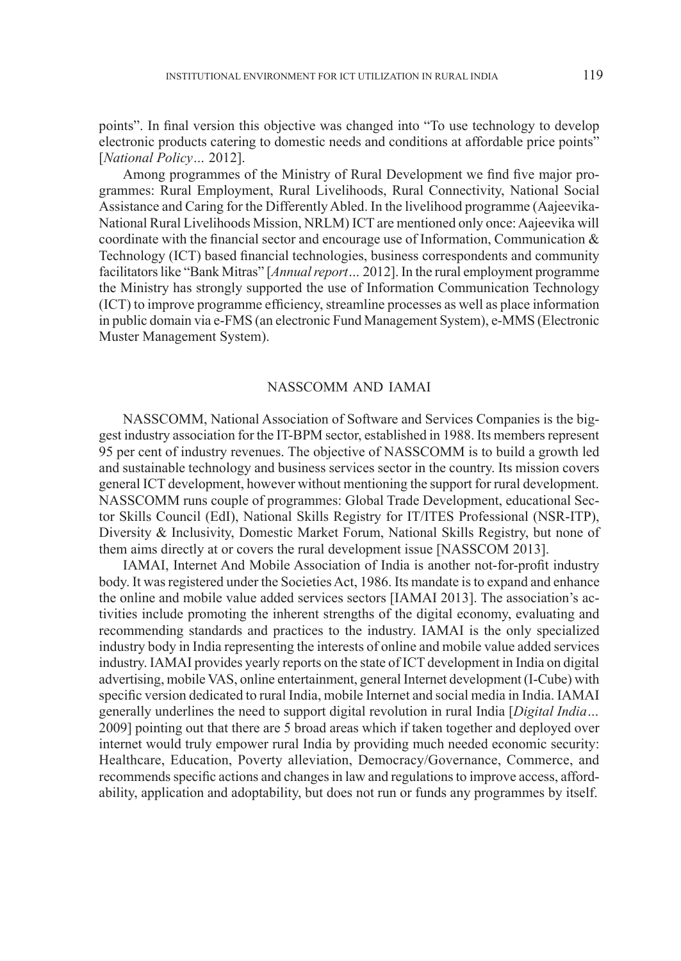points". In final version this objective was changed into "To use technology to develop electronic products catering to domestic needs and conditions at affordable price points" [*National Policy…* 2012].

Among programmes of the Ministry of Rural Development we find five major programmes: Rural Employment, Rural Livelihoods, Rural Connectivity, National Social Assistance and Caring for the Differently Abled. In the livelihood programme (Aajeevika-National Rural Livelihoods Mission, NRLM) ICT are mentioned only once: Aajeevika will coordinate with the financial sector and encourage use of Information, Communication & Technology (ICT) based financial technologies, business correspondents and community facilitators like "Bank Mitras" [*Annual report…* 2012]. In the rural employment programme the Ministry has strongly supported the use of Information Communication Technology (ICT) to improve programme efficiency, streamline processes as well as place information in public domain via e-FMS (an electronic Fund Management System), e-MMS (Electronic Muster Management System).

## NASSCOMM AND IAMAI

NASSCOMM, National Association of Software and Services Companies is the biggest industry association for the IT-BPM sector, established in 1988. Its members represent 95 per cent of industry revenues. The objective of NASSCOMM is to build a growth led and sustainable technology and business services sector in the country. Its mission covers general ICT development, however without mentioning the support for rural development. NASSCOMM runs couple of programmes: Global Trade Development, educational Sector Skills Council (EdI), National Skills Registry for IT/ITES Professional (NSR-ITP), Diversity & Inclusivity, Domestic Market Forum, National Skills Registry, but none of them aims directly at or covers the rural development issue [NASSCOM 2013].

IAMAI, Internet And Mobile Association of India is another not-for-profit industry body. It was registered under the Societies Act, 1986. Its mandate is to expand and enhance the online and mobile value added services sectors [IAMAI 2013]. The association's activities include promoting the inherent strengths of the digital economy, evaluating and recommending standards and practices to the industry. IAMAI is the only specialized industry body in India representing the interests of online and mobile value added services industry. IAMAI provides yearly reports on the state of ICT development in India on digital advertising, mobile VAS, online entertainment, general Internet development (I-Cube) with specific version dedicated to rural India, mobile Internet and social media in India. IAMAI generally underlines the need to support digital revolution in rural India [*Digital India…* 2009] pointing out that there are 5 broad areas which if taken together and deployed over internet would truly empower rural India by providing much needed economic security: Healthcare, Education, Poverty alleviation, Democracy/Governance, Commerce, and recommends specific actions and changes in law and regulations to improve access, affordability, application and adoptability, but does not run or funds any programmes by itself.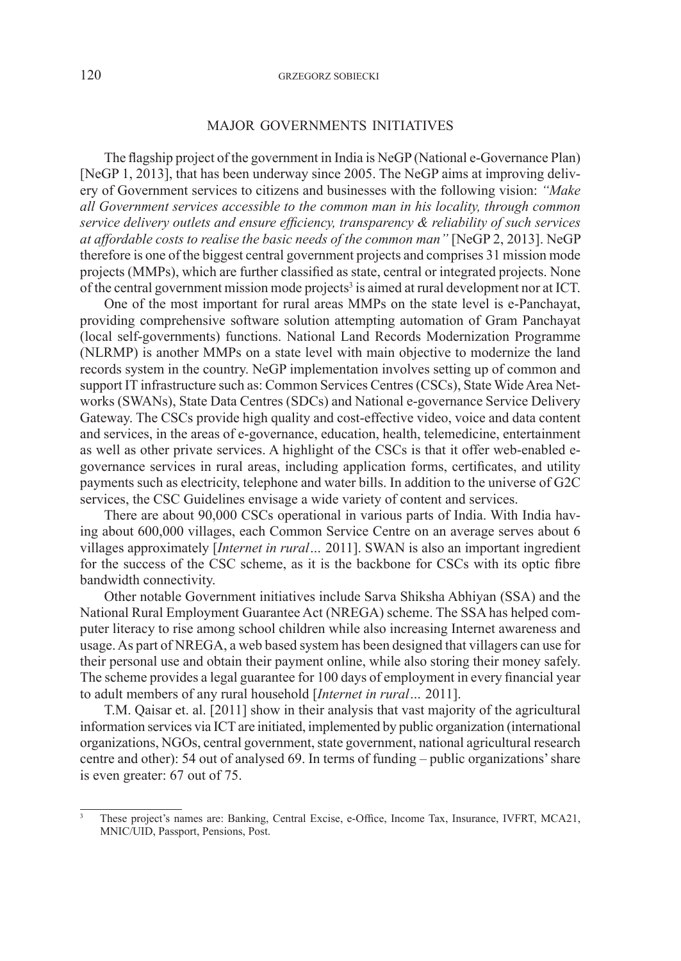#### MAJOR GOVERNMENTS INITIATIVES

The flagship project of the government in India is NeGP (National e-Governance Plan) [NeGP 1, 2013], that has been underway since 2005. The NeGP aims at improving delivery of Government services to citizens and businesses with the following vision: *"Make all Government services accessible to the common man in his locality, through common service delivery outlets and ensure efficiency, transparency & reliability of such services at affordable costs to realise the basic needs of the common man"* [NeGP 2, 2013]. NeGP therefore is one of the biggest central government projects and comprises 31 mission mode projects (MMPs), which are further classified as state, central or integrated projects. None of the central government mission mode projects<sup>3</sup> is aimed at rural development nor at ICT.

One of the most important for rural areas MMPs on the state level is e-Panchayat, providing comprehensive software solution attempting automation of Gram Panchayat (local self-governments) functions. National Land Records Modernization Programme (NLRMP) is another MMPs on a state level with main objective to modernize the land records system in the country. NeGP implementation involves setting up of common and support IT infrastructure such as: Common Services Centres (CSCs), State Wide Area Networks (SWANs), State Data Centres (SDCs) and National e-governance Service Delivery Gateway. The CSCs provide high quality and cost-effective video, voice and data content and services, in the areas of e-governance, education, health, telemedicine, entertainment as well as other private services. A highlight of the CSCs is that it offer web-enabled egovernance services in rural areas, including application forms, certificates, and utility payments such as electricity, telephone and water bills. In addition to the universe of G2C services, the CSC Guidelines envisage a wide variety of content and services.

There are about 90,000 CSCs operational in various parts of India. With India having about 600,000 villages, each Common Service Centre on an average serves about 6 villages approximately [*Internet in rural…* 2011]. SWAN is also an important ingredient for the success of the CSC scheme, as it is the backbone for CSCs with its optic fibre bandwidth connectivity.

Other notable Government initiatives include Sarva Shiksha Abhiyan (SSA) and the National Rural Employment Guarantee Act (NREGA) scheme. The SSA has helped computer literacy to rise among school children while also increasing Internet awareness and usage. As part of NREGA, a web based system has been designed that villagers can use for their personal use and obtain their payment online, while also storing their money safely. The scheme provides a legal guarantee for 100 days of employment in every financial year to adult members of any rural household [*Internet in rural…* 2011].

T.M. Qaisar et. al. [2011] show in their analysis that vast majority of the agricultural information services via ICT are initiated, implemented by public organization (international organizations, NGOs, central government, state government, national agricultural research centre and other): 54 out of analysed 69. In terms of funding – public organizations' share is even greater: 67 out of 75.

<sup>3</sup> These project's names are: Banking, Central Excise, e-Office, Income Tax, Insurance, IVFRT, MCA21, MNIC/UID, Passport, Pensions, Post.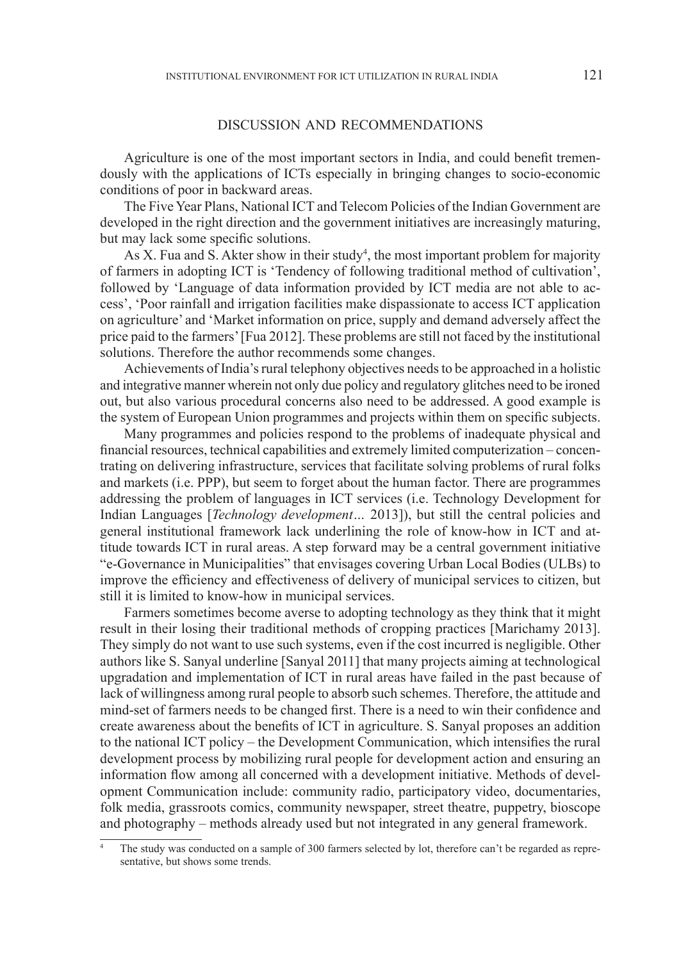#### DISCUSSION AND RECOMMENDATIONS

Agriculture is one of the most important sectors in India, and could benefit tremendously with the applications of ICTs especially in bringing changes to socio-economic conditions of poor in backward areas.

The Five Year Plans, National ICT and Telecom Policies of the Indian Government are developed in the right direction and the government initiatives are increasingly maturing, but may lack some specific solutions.

As X. Fua and S. Akter show in their study<sup>4</sup>, the most important problem for majority of farmers in adopting ICT is 'Tendency of following traditional method of cultivation', followed by 'Language of data information provided by ICT media are not able to access', 'Poor rainfall and irrigation facilities make dispassionate to access ICT application on agriculture' and 'Market information on price, supply and demand adversely affect the price paid to the farmers' [Fua 2012]. These problems are still not faced by the institutional solutions. Therefore the author recommends some changes.

Achievements of India's rural telephony objectives needs to be approached in a holistic and integrative manner wherein not only due policy and regulatory glitches need to be ironed out, but also various procedural concerns also need to be addressed. A good example is the system of European Union programmes and projects within them on specific subjects.

Many programmes and policies respond to the problems of inadequate physical and financial resources, technical capabilities and extremely limited computerization – concentrating on delivering infrastructure, services that facilitate solving problems of rural folks and markets (i.e. PPP), but seem to forget about the human factor. There are programmes addressing the problem of languages in ICT services (i.e. Technology Development for Indian Languages [*Technology development…* 2013]), but still the central policies and general institutional framework lack underlining the role of know-how in ICT and attitude towards ICT in rural areas. A step forward may be a central government initiative "e-Governance in Municipalities" that envisages covering Urban Local Bodies (ULBs) to improve the efficiency and effectiveness of delivery of municipal services to citizen, but still it is limited to know-how in municipal services.

Farmers sometimes become averse to adopting technology as they think that it might result in their losing their traditional methods of cropping practices [Marichamy 2013]. They simply do not want to use such systems, even if the cost incurred is negligible. Other authors like S. Sanyal underline [Sanyal 2011] that many projects aiming at technological upgradation and implementation of ICT in rural areas have failed in the past because of lack of willingness among rural people to absorb such schemes. Therefore, the attitude and mind-set of farmers needs to be changed first. There is a need to win their confidence and create awareness about the benefits of ICT in agriculture. S. Sanyal proposes an addition to the national ICT policy – the Development Communication, which intensifies the rural development process by mobilizing rural people for development action and ensuring an information flow among all concerned with a development initiative. Methods of development Communication include: community radio, participatory video, documentaries, folk media, grassroots comics, community newspaper, street theatre, puppetry, bioscope and photography – methods already used but not integrated in any general framework.

The study was conducted on a sample of 300 farmers selected by lot, therefore can't be regarded as representative, but shows some trends.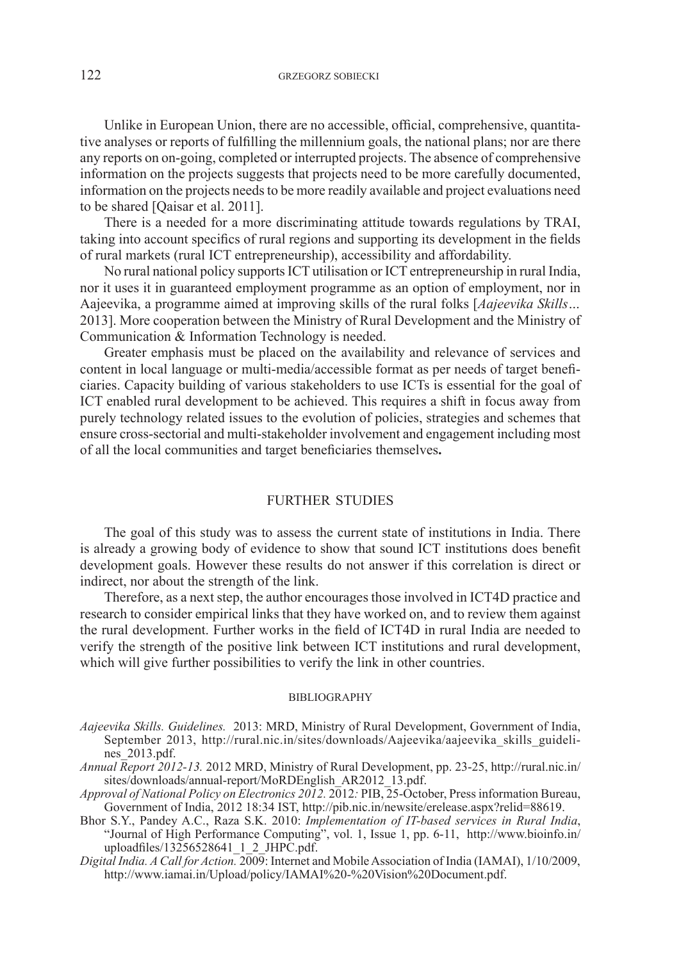Unlike in European Union, there are no accessible, official, comprehensive, quantitative analyses or reports of fulfilling the millennium goals, the national plans; nor are there any reports on on-going, completed or interrupted projects. The absence of comprehensive information on the projects suggests that projects need to be more carefully documented, information on the projects needs to be more readily available and project evaluations need to be shared [Qaisar et al. 2011].

There is a needed for a more discriminating attitude towards regulations by TRAI, taking into account specifics of rural regions and supporting its development in the fields of rural markets (rural ICT entrepreneurship), accessibility and affordability.

No rural national policy supports ICT utilisation or ICT entrepreneurship in rural India, nor it uses it in guaranteed employment programme as an option of employment, nor in Aajeevika, a programme aimed at improving skills of the rural folks [*Aajeevika Skills…*  2013]. More cooperation between the Ministry of Rural Development and the Ministry of Communication & Information Technology is needed.

Greater emphasis must be placed on the availability and relevance of services and content in local language or multi-media/accessible format as per needs of target beneficiaries. Capacity building of various stakeholders to use ICTs is essential for the goal of ICT enabled rural development to be achieved. This requires a shift in focus away from purely technology related issues to the evolution of policies, strategies and schemes that ensure cross-sectorial and multi-stakeholder involvement and engagement including most of all the local communities and target beneficiaries themselves**.**

## FURTHER STUDIES

The goal of this study was to assess the current state of institutions in India. There is already a growing body of evidence to show that sound ICT institutions does benefit development goals. However these results do not answer if this correlation is direct or indirect, nor about the strength of the link.

Therefore, as a next step, the author encourages those involved in ICT4D practice and research to consider empirical links that they have worked on, and to review them against the rural development. Further works in the field of ICT4D in rural India are needed to verify the strength of the positive link between ICT institutions and rural development, which will give further possibilities to verify the link in other countries.

#### BIBLIOGRAPHY

- *Aajeevika Skills. Guidelines.* 2013: MRD, Ministry of Rural Development, Government of India, September 2013, http://rural.nic.in/sites/downloads/Aajeevika/aajeevika\_skills\_guidelines\_2013.pdf.
- *Annual Report 2012-13.* 2012 MRD, Ministry of Rural Development, pp. 23-25, http://rural.nic.in/ sites/downloads/annual-report/MoRDEnglish\_AR2012\_13.pdf.
- *Approval of National Policy on Electronics 2012.* 2012*:* PIB, 25-October, Press information Bureau, Government of India, 2012 18:34 IST, http://pib.nic.in/newsite/erelease.aspx?relid=88619.
- Bhor S.Y., Pandey A.C., Raza S.K. 2010: *Implementation of IT-based services in Rural India*, "Journal of High Performance Computing", vol. 1, Issue 1, pp. 6-11, http://www.bioinfo.in/ uploadfiles/ $13\overline{2}56528641\_1\_2$ \_JHPC.pdf.
- *Digital India. A Call for Action.* 2009: Internet and Mobile Association of India (IAMAI), 1/10/2009, http://www.iamai.in/Upload/policy/IAMAI%20-%20Vision%20Document.pdf.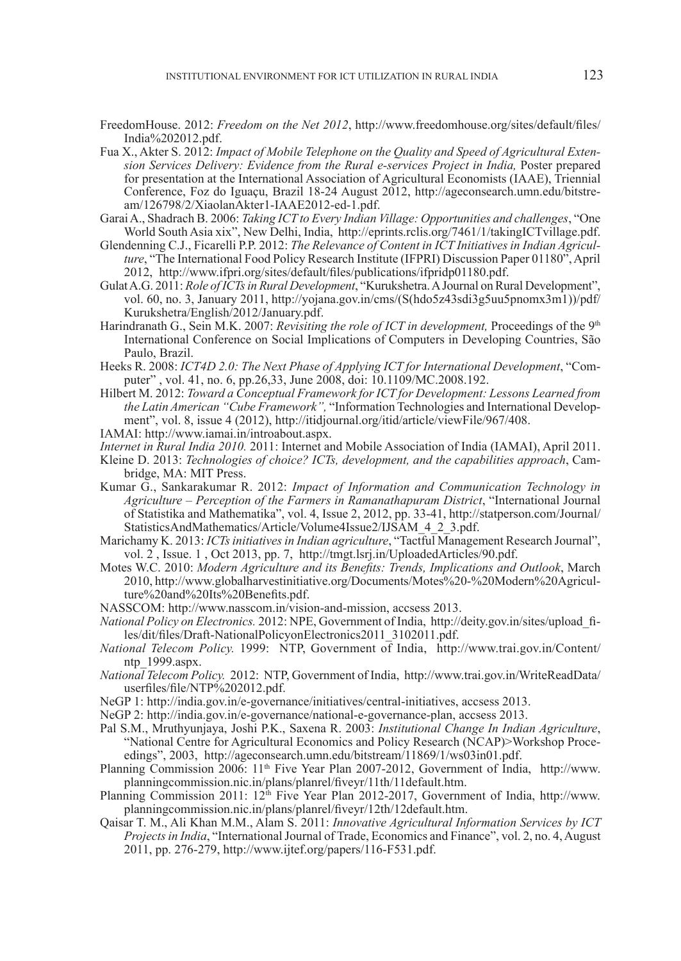- FreedomHouse. 2012: *Freedom on the Net 2012*, http://www.freedomhouse.org/sites/default/files/ India%202012.pdf.
- Fua X., Akter S. 2012: *Impact of Mobile Telephone on the Quality and Speed of Agricultural Extension Services Delivery: Evidence from the Rural e-services Project in India,* Poster prepared for presentation at the International Association of Agricultural Economists (IAAE), Triennial Conference, Foz do Iguaçu, Brazil 18-24 August 2012, http://ageconsearch.umn.edu/bitstream/126798/2/XiaolanAkter1-IAAE2012-ed-1.pdf.
- Garai A., Shadrach B. 2006: *Taking ICT to Every Indian Village: Opportunities and challenges*, "One World South Asia xix", New Delhi, India, http://eprints.rclis.org/7461/1/takingICTvillage.pdf.
- Glendenning C.J., Ficarelli P.P. 2012: *The Relevance of Content in ICT Initiatives in Indian Agriculture*, "The International Food Policy Research Institute (IFPRI) Discussion Paper 01180", April 2012, http://www.ifpri.org/sites/default/files/publications/ifpridp01180.pdf.
- Gulat A.G. 2011: *Role of ICTs in Rural Development*, "Kurukshetra. A Journal on Rural Development", vol. 60, no. 3, January 2011, http://yojana.gov.in/cms/(S(hdo5z43sdi3g5uu5pnomx3m1))/pdf/ Kurukshetra/English/2012/January.pdf.
- Harindranath G., Sein M.K. 2007: *Revisiting the role of ICT in development,* Proceedings of the 9th International Conference on Social Implications of Computers in Developing Countries, São Paulo, Brazil.
- Heeks R. 2008: *ICT4D 2.0: The Next Phase of Applying ICT for International Development*, "Computer" , vol. 41, no. 6, pp.26,33, June 2008, doi: 10.1109/MC.2008.192.
- Hilbert M. 2012: *Toward a Conceptual Framework for ICT for Development: Lessons Learned from the Latin American "Cube Framework",* "Information Technologies and International Development", vol. 8, issue 4 (2012), http://itidjournal.org/itid/article/viewFile/967/408.
- IAMAI: http://www.iamai.in/introabout.aspx.
- *Internet in Rural India 2010.* 2011: Internet and Mobile Association of India (IAMAI), April 2011.
- Kleine D. 2013: *Technologies of choice? ICTs, development, and the capabilities approach*, Cambridge, MA: MIT Press.
- Kumar G., Sankarakumar R. 2012: *Impact of Information and Communication Technology in Agriculture – Perception of the Farmers in Ramanathapuram District*, "International Journal of Statistika and Mathematika", vol. 4, Issue 2, 2012, pp. 33-41, http://statperson.com/Journal/ StatisticsAndMathematics/Article/Volume4Issue2/IJSAM\_4\_2\_3.pdf.
- Marichamy K. 2013: *ICTs initiatives in Indian agriculture*, "Tactful Management Research Journal", vol. 2 , Issue. 1 , Oct 2013, pp. 7, http://tmgt.lsrj.in/UploadedArticles/90.pdf.
- Motes W.C. 2010: *Modern Agriculture and its Benefits: Trends, Implications and Outlook*, March 2010, http://www.globalharvestinitiative.org/Documents/Motes%20-%20Modern%20Agriculture%20and%20Its%20Benefits.pdf.
- NASSCOM: http://www.nasscom.in/vision-and-mission, accsess 2013.
- *National Policy on Electronics.* 2012: NPE, Government of India, http://deity.gov.in/sites/upload\_files/dit/files/Draft-NationalPolicyonElectronics2011\_3102011.pdf.
- *National Telecom Policy.* 1999: NTP, Government of India, http://www.trai.gov.in/Content/ ntp\_1999.aspx.
- *National Telecom Policy.* 2012: NTP, Government of India, http://www.trai.gov.in/WriteReadData/ userfiles/file/NTP%202012.pdf.
- NeGP 1: http://india.gov.in/e-governance/initiatives/central-initiatives, accsess 2013.
- NeGP 2: http://india.gov.in/e-governance/national-e-governance-plan, accsess 2013.
- Pal S.M., Mruthyunjaya, Joshi P.K., Saxena R. 2003: *Institutional Change In Indian Agriculture*, "National Centre for Agricultural Economics and Policy Research (NCAP)>Workshop Proceedings", 2003, http://ageconsearch.umn.edu/bitstream/11869/1/ws03in01.pdf.
- Planning Commission 2006: 11th Five Year Plan 2007-2012, Government of India, http://www. planningcommission.nic.in/plans/planrel/fiveyr/11th/11default.htm.
- Planning Commission 2011: 12<sup>th</sup> Five Year Plan 2012-2017, Government of India, http://www. planningcommission.nic.in/plans/planrel/fiveyr/12th/12default.htm.
- Qaisar T. M., Ali Khan M.M., Alam S. 2011: *Innovative Agricultural Information Services by ICT Projects in India*, "International Journal of Trade, Economics and Finance", vol. 2, no. 4, August 2011, pp. 276-279, http://www.ijtef.org/papers/116-F531.pdf.